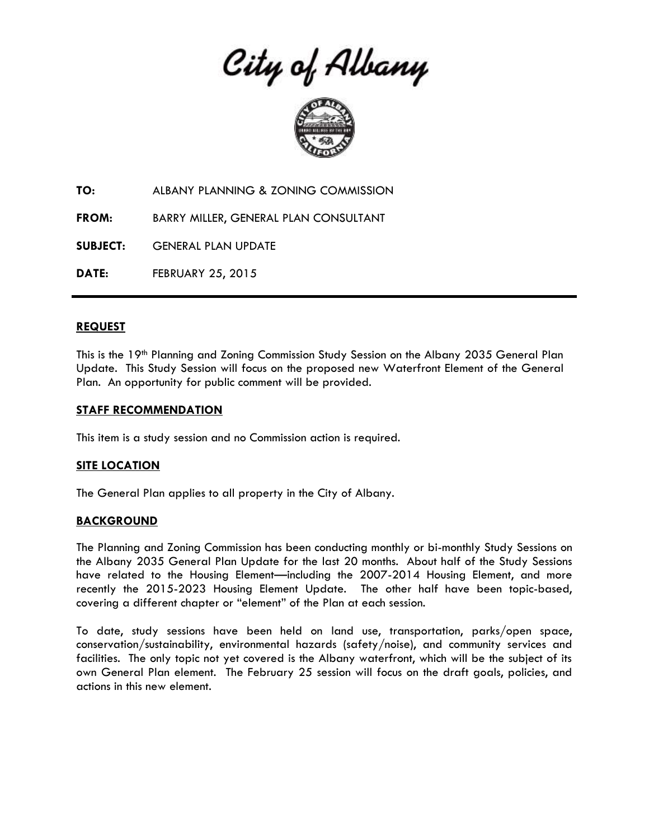City of Albany



**TO:** ALBANY PLANNING & ZONING COMMISSION

**FROM:** BARRY MILLER, GENERAL PLAN CONSULTANT

**SUBJECT:** GENERAL PLAN UPDATE

**DATE:** FEBRUARY 25, 2015

#### **REQUEST**

This is the 19<sup>th</sup> Planning and Zoning Commission Study Session on the Albany 2035 General Plan Update. This Study Session will focus on the proposed new Waterfront Element of the General Plan. An opportunity for public comment will be provided.

#### **STAFF RECOMMENDATION**

This item is a study session and no Commission action is required.

### **SITE LOCATION**

The General Plan applies to all property in the City of Albany.

### **BACKGROUND**

The Planning and Zoning Commission has been conducting monthly or bi-monthly Study Sessions on the Albany 2035 General Plan Update for the last 20 months. About half of the Study Sessions have related to the Housing Element—including the 2007-2014 Housing Element, and more recently the 2015-2023 Housing Element Update. The other half have been topic-based, covering a different chapter or "element" of the Plan at each session.

To date, study sessions have been held on land use, transportation, parks/open space, conservation/sustainability, environmental hazards (safety/noise), and community services and facilities. The only topic not yet covered is the Albany waterfront, which will be the subject of its own General Plan element. The February 25 session will focus on the draft goals, policies, and actions in this new element.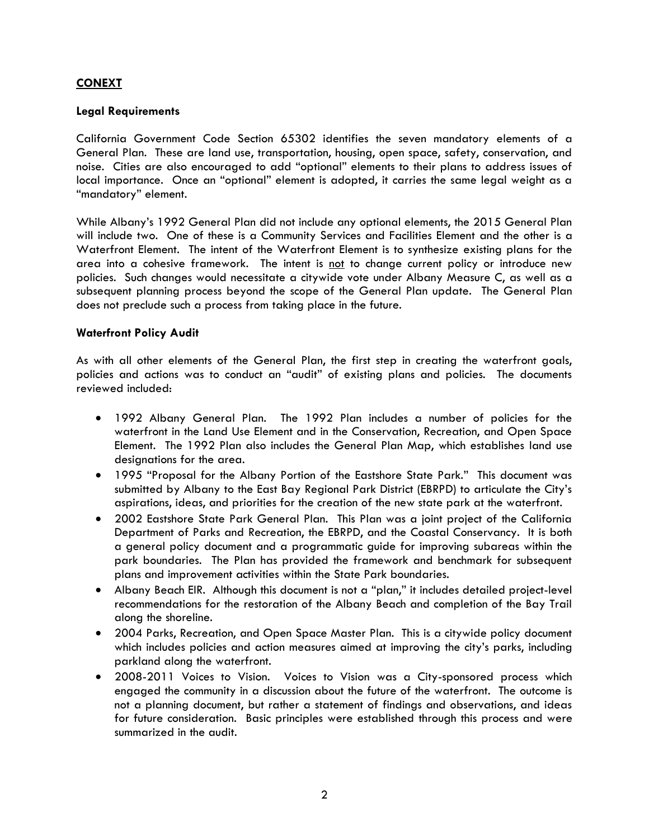# **CONEXT**

### **Legal Requirements**

California Government Code Section 65302 identifies the seven mandatory elements of a General Plan. These are land use, transportation, housing, open space, safety, conservation, and noise. Cities are also encouraged to add "optional" elements to their plans to address issues of local importance. Once an "optional" element is adopted, it carries the same legal weight as a "mandatory" element.

While Albany's 1992 General Plan did not include any optional elements, the 2015 General Plan will include two. One of these is a Community Services and Facilities Element and the other is a Waterfront Element. The intent of the Waterfront Element is to synthesize existing plans for the area into a cohesive framework. The intent is not to change current policy or introduce new policies. Such changes would necessitate a citywide vote under Albany Measure C, as well as a subsequent planning process beyond the scope of the General Plan update. The General Plan does not preclude such a process from taking place in the future.

# **Waterfront Policy Audit**

As with all other elements of the General Plan, the first step in creating the waterfront goals, policies and actions was to conduct an "audit" of existing plans and policies. The documents reviewed included:

- 1992 Albany General Plan. The 1992 Plan includes a number of policies for the waterfront in the Land Use Element and in the Conservation, Recreation, and Open Space Element. The 1992 Plan also includes the General Plan Map, which establishes land use designations for the area.
- 1995 "Proposal for the Albany Portion of the Eastshore State Park." This document was submitted by Albany to the East Bay Regional Park District (EBRPD) to articulate the City's aspirations, ideas, and priorities for the creation of the new state park at the waterfront.
- 2002 Eastshore State Park General Plan. This Plan was a joint project of the California Department of Parks and Recreation, the EBRPD, and the Coastal Conservancy. It is both a general policy document and a programmatic guide for improving subareas within the park boundaries. The Plan has provided the framework and benchmark for subsequent plans and improvement activities within the State Park boundaries.
- Albany Beach EIR. Although this document is not a "plan," it includes detailed project-level recommendations for the restoration of the Albany Beach and completion of the Bay Trail along the shoreline.
- 2004 Parks, Recreation, and Open Space Master Plan. This is a citywide policy document which includes policies and action measures aimed at improving the city's parks, including parkland along the waterfront.
- 2008-2011 Voices to Vision. Voices to Vision was a City-sponsored process which engaged the community in a discussion about the future of the waterfront. The outcome is not a planning document, but rather a statement of findings and observations, and ideas for future consideration. Basic principles were established through this process and were summarized in the audit.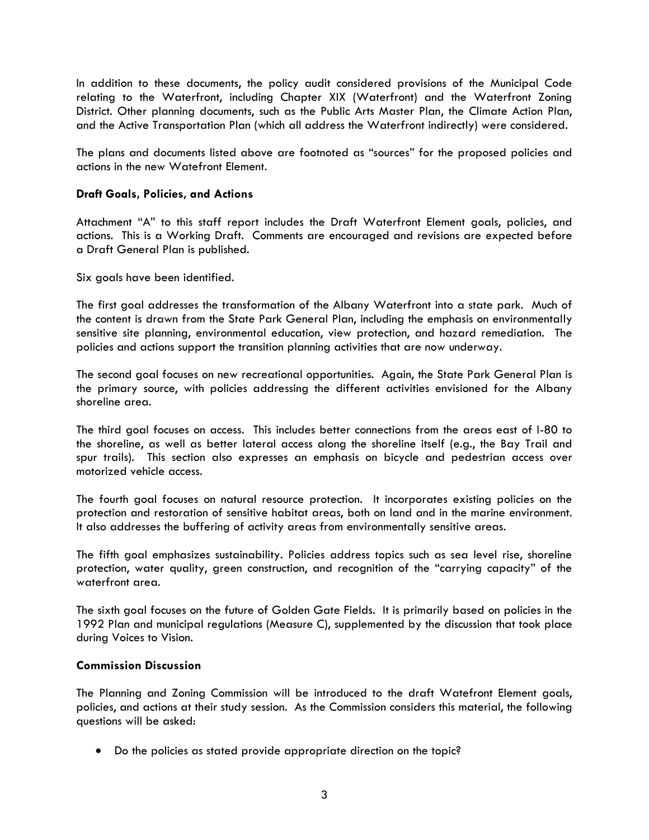In addition to these documents, the policy audit considered provisions of the Municipal Code relating to the Waterfront, including Chapter XIX (Waterfront) and the Waterfront Zoning District. Other planning documents, such as the Public Arts Master Plan, the Climate Action Plan, and the Active Transportation Plan (which all address the Waterfront indirectly) were considered.

The plans and documents listed above are footnoted as "sources" for the proposed policies and actions in the new Watefront Element.

## **Draft Goals, Policies, and Actions**

Attachment "A" to this staff report includes the Draft Waterfront Element goals, policies, and actions. This is a Working Draft. Comments are encouraged and revisions are expected before a Draft General Plan is published.

Six goals have been identified.

The first goal addresses the transformation of the Albany Waterfront into a state park. Much of the content is drawn from the State Park General Plan, including the emphasis on environmentally sensitive site planning, environmental education, view protection, and hazard remediation. The policies and actions support the transition planning activities that are now underway.

The second goal focuses on new recreational opportunities. Again, the State Park General Plan is the primary source, with policies addressing the different activities envisioned for the Albany shoreline area.

The third goal focuses on access. This includes better connections from the areas east of I-80 to the shoreline, as well as better lateral access along the shoreline itself (e.g., the Bay Trail and spur trails). This section also expresses an emphasis on bicycle and pedestrian access over motorized vehicle access.

The fourth goal focuses on natural resource protection. It incorporates existing policies on the protection and restoration of sensitive habitat areas, both on land and in the marine environment. It also addresses the buffering of activity areas from environmentally sensitive areas.

The fifth goal emphasizes sustainability. Policies address topics such as sea level rise, shoreline protection, water quality, green construction, and recognition of the "carrying capacity" of the waterfront area.

The sixth goal focuses on the future of Golden Gate Fields. It is primarily based on policies in the 1992 Plan and municipal regulations (Measure C), supplemented by the discussion that took place during Voices to Vision.

### **Commission Discussion**

The Planning and Zoning Commission will be introduced to the draft Watefront Element goals, policies, and actions at their study session. As the Commission considers this material, the following questions will be asked:

Do the policies as stated provide appropriate direction on the topic?